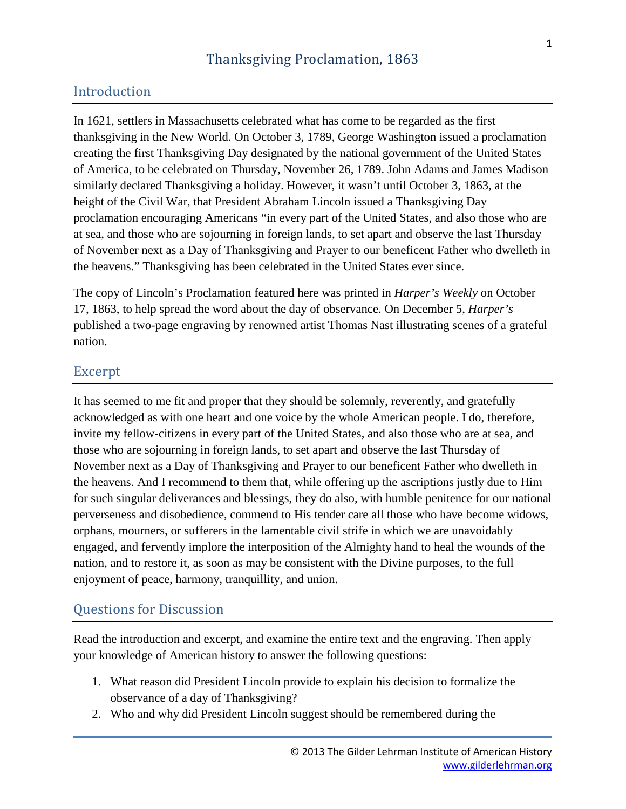## Introduction

In 1621, settlers in Massachusetts celebrated what has come to be regarded as the first thanksgiving in the New World. On October 3, 1789, George Washington issued a proclamation creating the first Thanksgiving Day designated by the national government of the United States of America, to be celebrated on Thursday, November 26, 1789. John Adams and James Madison similarly declared Thanksgiving a holiday. However, it wasn't until October 3, 1863, at the height of the Civil War, that President Abraham Lincoln issued a Thanksgiving Day proclamation encouraging Americans "in every part of the United States, and also those who are at sea, and those who are sojourning in foreign lands, to set apart and observe the last Thursday of November next as a Day of Thanksgiving and Prayer to our beneficent Father who dwelleth in the heavens." Thanksgiving has been celebrated in the United States ever since.

The copy of Lincoln's Proclamation featured here was printed in *Harper's Weekly* on October 17, 1863, to help spread the word about the day of observance. On December 5, *Harper's* published a two-page engraving by renowned artist Thomas Nast illustrating scenes of a grateful nation.

### Excerpt

It has seemed to me fit and proper that they should be solemnly, reverently, and gratefully acknowledged as with one heart and one voice by the whole American people. I do, therefore, invite my fellow-citizens in every part of the United States, and also those who are at sea, and those who are sojourning in foreign lands, to set apart and observe the last Thursday of November next as a Day of Thanksgiving and Prayer to our beneficent Father who dwelleth in the heavens. And I recommend to them that, while offering up the ascriptions justly due to Him for such singular deliverances and blessings, they do also, with humble penitence for our national perverseness and disobedience, commend to His tender care all those who have become widows, orphans, mourners, or sufferers in the lamentable civil strife in which we are unavoidably engaged, and fervently implore the interposition of the Almighty hand to heal the wounds of the nation, and to restore it, as soon as may be consistent with the Divine purposes, to the full enjoyment of peace, harmony, tranquillity, and union.

#### Questions for Discussion

Read the introduction and excerpt, and examine the entire text and the engraving. Then apply your knowledge of American history to answer the following questions:

- 1. What reason did President Lincoln provide to explain his decision to formalize the observance of a day of Thanksgiving?
- 2. Who and why did President Lincoln suggest should be remembered during the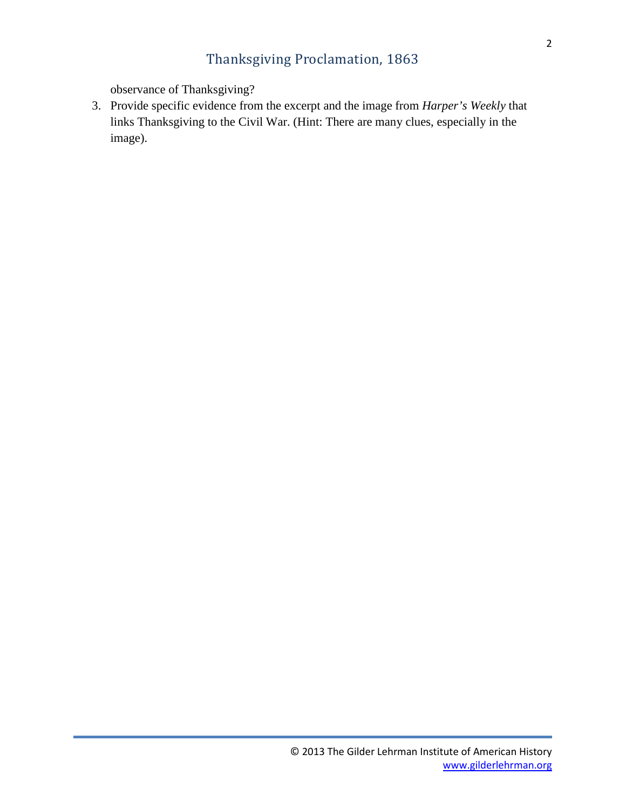# Thanksgiving Proclamation, 1863

observance of Thanksgiving?

3. Provide specific evidence from the excerpt and the image from *Harper's Weekly* that links Thanksgiving to the Civil War. (Hint: There are many clues, especially in the image).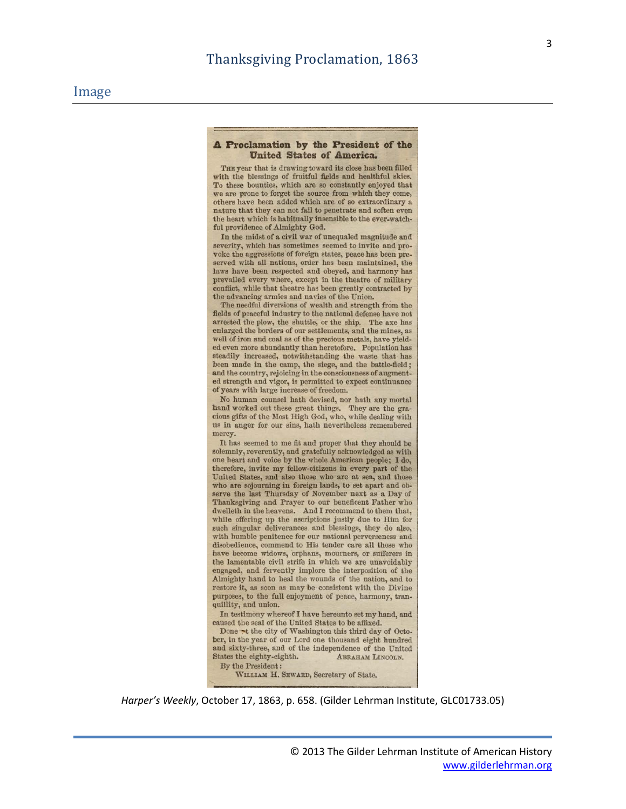#### A Proclamation by the President of the **United States of America.**

THE year that is drawing toward its close has been filled with the blessings of fruitful fields and healthful skies. To these bounties, which are so constantly enjoyed that we are prone to forget the source from which they come, others have been added which are of so extraordinary a nature that they can not fail to penetrate and soften even the heart which is habitually insensible to the ever-watchful providence of Almighty God.

In the midst of a civil war of unequaled magnitude and severity, which has sometimes seemed to invite and provoke the aggressions of foreign states, peace has been preserved with all nations, order has been maintained, the laws have been respected and obeyed, and harmony has prevailed every where, except in the theatre of military conflict, while that theatre has been greatly contracted by the advancing armies and navies of the Union.

The needful diversions of wealth and strength from the fields of peaceful industry to the national defense have not arrested the plow, the shuttle, or the ship. The axe has enlarged the borders of our settlements, and the mines, as well of iron and coal as of the precious metals, have yielded even more abundantly than heretofore. Population has steadily increased, notwithstanding the waste that has been made in the camp, the siege, and the battle-field; and the country, rejoicing in the consciousness of augmented strength and vigor, is permitted to expect continuance of years with large increase of freedom.

No human counsel hath devised, nor hath any mortal hand worked out these great things. They are the gracious gifts of the Most High God, who, while dealing with us in anger for our sins, hath nevertheless remembered mercy.

It has seemed to me fit and proper that they should be solemnly, reverently, and gratefully acknowledged as with one heart and voice by the whole American people; I do, therefore, invite my fellow-citizens in every part of the United States, and also those who are at sea, and those who are sojourning in foreign lands, to set apart and observe the last Thursday of November next as a Day of Thanksgiving and Prayer to our beneficent Father who dwelleth in the heavens. And I recommend to them that, while offering up the ascriptions justly due to Him for such singular deliverances and blessings, they do also, with humble penitence for our national perverseness and disobedience, commend to His tender care all those who have become widows, orphans, mourners, or sufferers in the lamentable civil strife in which we are unavoidably engaged, and fervently implore the interposition of the Almighty hand to heal the wounds of the nation, and to restore it, as soon as may be consistent with the Divine purposes, to the full enjoyment of peace, harmony, tranquillity, and union.

In testimony whereof I have hereunto set my hand, and caused the seal of the United States to be affixed.

Done at the city of Washington this third day of October, in the year of our Lord one thousand eight hundred and sixty-three, and of the independence of the United States the eighty-eighth. ABRAHAM LINCOLN. By the President:

WILLIAM H. SEWARD, Secretary of State.

*Harper's Weekly*, October 17, 1863, p. 658. (Gilder Lehrman Institute, GLC01733.05)